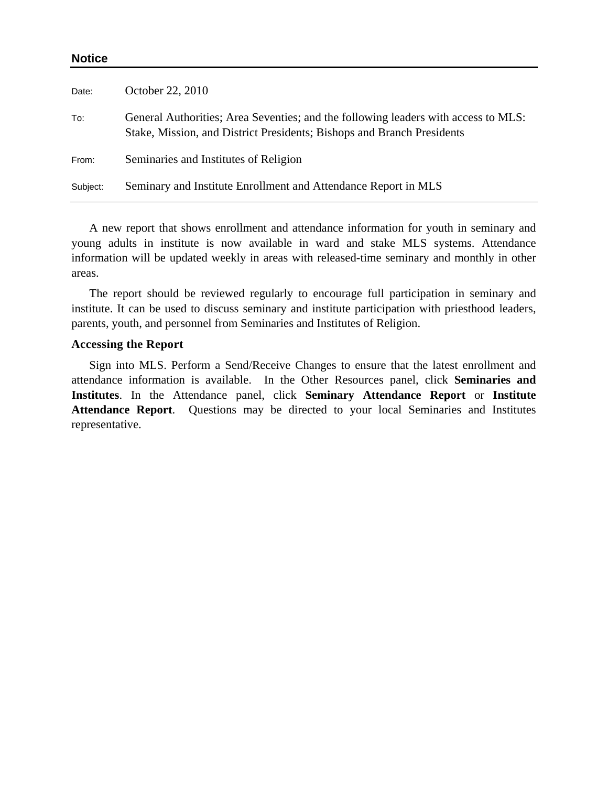| Date:    | October 22, 2010                                                                                                                                             |
|----------|--------------------------------------------------------------------------------------------------------------------------------------------------------------|
| To:      | General Authorities; Area Seventies; and the following leaders with access to MLS:<br>Stake, Mission, and District Presidents; Bishops and Branch Presidents |
| From:    | Seminaries and Institutes of Religion                                                                                                                        |
| Subject: | Seminary and Institute Enrollment and Attendance Report in MLS                                                                                               |

A new report that shows enrollment and attendance information for youth in seminary and young adults in institute is now available in ward and stake MLS systems. Attendance information will be updated weekly in areas with released-time seminary and monthly in other areas.

The report should be reviewed regularly to encourage full participation in seminary and institute. It can be used to discuss seminary and institute participation with priesthood leaders, parents, youth, and personnel from Seminaries and Institutes of Religion.

## **Accessing the Report**

**Notice** 

Sign into MLS. Perform a Send/Receive Changes to ensure that the latest enrollment and attendance information is available. In the Other Resources panel, click **Seminaries and**  Institutes. In the Attendance panel, click **Seminary Attendance Report** or Institute **Attendance Report**. Questions may be directed to your local Seminaries and Institutes representative.